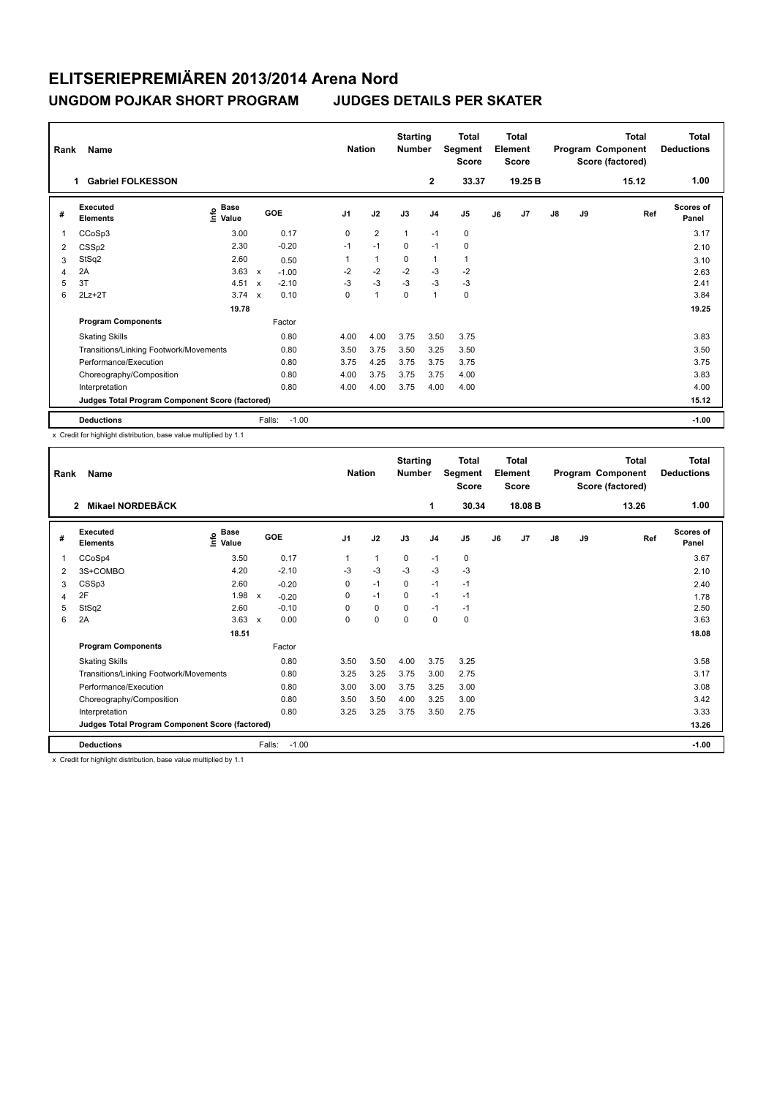## **ELITSERIEPREMIÄREN 2013/2014 Arena Nord UNGDOM POJKAR SHORT PROGRAM JUDGES DETAILS PER SKATER**

| Name<br>Rank   |                                                 |                       |                           |            |                | <b>Nation</b>  |              | <b>Starting</b><br><b>Number</b> | <b>Total</b><br>Segment<br><b>Score</b> | <b>Total</b><br>Element<br><b>Score</b> |                |               |    | <b>Total</b><br>Program Component<br>Score (factored) | Total<br><b>Deductions</b> |
|----------------|-------------------------------------------------|-----------------------|---------------------------|------------|----------------|----------------|--------------|----------------------------------|-----------------------------------------|-----------------------------------------|----------------|---------------|----|-------------------------------------------------------|----------------------------|
|                | <b>Gabriel FOLKESSON</b><br>1                   |                       |                           |            |                |                |              | $\overline{2}$                   | 33.37                                   |                                         | 19.25 B        |               |    | 15.12                                                 | 1.00                       |
| #              | Executed<br><b>Elements</b>                     | Base<br>lnfo<br>Value |                           | <b>GOE</b> | J <sub>1</sub> | J2             | J3           | J <sub>4</sub>                   | J <sub>5</sub>                          | J6                                      | J <sub>7</sub> | $\mathsf{J}8$ | J9 | Ref                                                   | Scores of<br>Panel         |
| 1              | CCoSp3                                          | 3.00                  |                           | 0.17       | $\Omega$       | $\overline{2}$ | $\mathbf{1}$ | $-1$                             | $\mathbf 0$                             |                                         |                |               |    |                                                       | 3.17                       |
| 2              | CSSp2                                           | 2.30                  |                           | $-0.20$    | $-1$           | $-1$           | $\Omega$     | $-1$                             | $\mathbf 0$                             |                                         |                |               |    |                                                       | 2.10                       |
| 3              | StSq2                                           | 2.60                  |                           | 0.50       |                | $\mathbf{1}$   | 0            | $\mathbf{1}$                     | 1                                       |                                         |                |               |    |                                                       | 3.10                       |
| $\overline{4}$ | 2A                                              | 3.63                  | $\mathsf{x}$              | $-1.00$    | $-2$           | $-2$           | $-2$         | $-3$                             | $-2$                                    |                                         |                |               |    |                                                       | 2.63                       |
| 5              | 3T                                              | 4.51                  | $\boldsymbol{\mathsf{x}}$ | $-2.10$    | $-3$           | $-3$           | $-3$         | $-3$                             | $-3$                                    |                                         |                |               |    |                                                       | 2.41                       |
| 6              | $2Lz+2T$                                        | $3.74 \times$         |                           | 0.10       | 0              | $\overline{1}$ | 0            | $\mathbf{1}$                     | 0                                       |                                         |                |               |    |                                                       | 3.84                       |
|                |                                                 | 19.78                 |                           |            |                |                |              |                                  |                                         |                                         |                |               |    |                                                       | 19.25                      |
|                | <b>Program Components</b>                       |                       |                           | Factor     |                |                |              |                                  |                                         |                                         |                |               |    |                                                       |                            |
|                | <b>Skating Skills</b>                           |                       |                           | 0.80       | 4.00           | 4.00           | 3.75         | 3.50                             | 3.75                                    |                                         |                |               |    |                                                       | 3.83                       |
|                | Transitions/Linking Footwork/Movements          |                       |                           | 0.80       | 3.50           | 3.75           | 3.50         | 3.25                             | 3.50                                    |                                         |                |               |    |                                                       | 3.50                       |
|                | Performance/Execution                           |                       |                           | 0.80       | 3.75           | 4.25           | 3.75         | 3.75                             | 3.75                                    |                                         |                |               |    |                                                       | 3.75                       |
|                | Choreography/Composition                        |                       |                           | 0.80       | 4.00           | 3.75           | 3.75         | 3.75                             | 4.00                                    |                                         |                |               |    |                                                       | 3.83                       |
|                | Interpretation                                  |                       |                           | 0.80       | 4.00           | 4.00           | 3.75         | 4.00                             | 4.00                                    |                                         |                |               |    |                                                       | 4.00                       |
|                | Judges Total Program Component Score (factored) |                       |                           |            |                |                |              |                                  |                                         |                                         |                |               |    |                                                       | 15.12                      |
|                | <b>Deductions</b>                               |                       | Falls:                    | $-1.00$    |                |                |              |                                  |                                         |                                         |                |               |    |                                                       | $-1.00$                    |

x Credit for highlight distribution, base value multiplied by 1.1

| Rank | Name                                            |                       |                   | <b>Nation</b>  |      | <b>Starting</b><br><b>Number</b> |                | <b>Total</b><br>Segment<br><b>Score</b> |    | <b>Total</b><br>Element<br><b>Score</b> |    |    | Total<br>Program Component<br>Score (factored) | <b>Total</b><br><b>Deductions</b> |
|------|-------------------------------------------------|-----------------------|-------------------|----------------|------|----------------------------------|----------------|-----------------------------------------|----|-----------------------------------------|----|----|------------------------------------------------|-----------------------------------|
|      | Mikael NORDEBÄCK<br>$\overline{2}$              |                       |                   |                |      |                                  | 1              | 30.34                                   |    | 18.08 B                                 |    |    | 13.26                                          | 1.00                              |
| #    | Executed<br><b>Elements</b>                     | $\sum_{i=1}^{n}$ Base | <b>GOE</b>        | J <sub>1</sub> | J2   | J3                               | J <sub>4</sub> | J <sub>5</sub>                          | J6 | J7                                      | J8 | J9 | Ref                                            | <b>Scores of</b><br>Panel         |
| 1    | CCoSp4                                          | 3.50                  | 0.17              | 1              | 1    | 0                                | $-1$           | 0                                       |    |                                         |    |    |                                                | 3.67                              |
| 2    | 3S+COMBO                                        | 4.20                  | $-2.10$           | $-3$           | $-3$ | $-3$                             | $-3$           | $-3$                                    |    |                                         |    |    |                                                | 2.10                              |
| 3    | CSSp3                                           | 2.60                  | $-0.20$           | 0              | $-1$ | $\Omega$                         | $-1$           | $-1$                                    |    |                                         |    |    |                                                | 2.40                              |
| 4    | 2F                                              | 1.98 $x$              | $-0.20$           | 0              | $-1$ | $\mathbf 0$                      | $-1$           | $-1$                                    |    |                                         |    |    |                                                | 1.78                              |
| 5    | StSq2                                           | 2.60                  | $-0.10$           | $\Omega$       | 0    | $\Omega$                         | $-1$           | $-1$                                    |    |                                         |    |    |                                                | 2.50                              |
| 6    | 2A                                              | $3.63 \times$         | 0.00              | $\Omega$       | 0    | $\Omega$                         | $\mathbf 0$    | 0                                       |    |                                         |    |    |                                                | 3.63                              |
|      |                                                 | 18.51                 |                   |                |      |                                  |                |                                         |    |                                         |    |    |                                                | 18.08                             |
|      | <b>Program Components</b>                       |                       | Factor            |                |      |                                  |                |                                         |    |                                         |    |    |                                                |                                   |
|      | <b>Skating Skills</b>                           |                       | 0.80              | 3.50           | 3.50 | 4.00                             | 3.75           | 3.25                                    |    |                                         |    |    |                                                | 3.58                              |
|      | Transitions/Linking Footwork/Movements          |                       | 0.80              | 3.25           | 3.25 | 3.75                             | 3.00           | 2.75                                    |    |                                         |    |    |                                                | 3.17                              |
|      | Performance/Execution                           |                       | 0.80              | 3.00           | 3.00 | 3.75                             | 3.25           | 3.00                                    |    |                                         |    |    |                                                | 3.08                              |
|      | Choreography/Composition                        |                       | 0.80              | 3.50           | 3.50 | 4.00                             | 3.25           | 3.00                                    |    |                                         |    |    |                                                | 3.42                              |
|      | Interpretation                                  |                       | 0.80              | 3.25           | 3.25 | 3.75                             | 3.50           | 2.75                                    |    |                                         |    |    |                                                | 3.33                              |
|      | Judges Total Program Component Score (factored) |                       |                   |                |      |                                  |                |                                         |    |                                         |    |    |                                                | 13.26                             |
|      | <b>Deductions</b>                               |                       | $-1.00$<br>Falls: |                |      |                                  |                |                                         |    |                                         |    |    |                                                | $-1.00$                           |

x Credit for highlight distribution, base value multiplied by 1.1